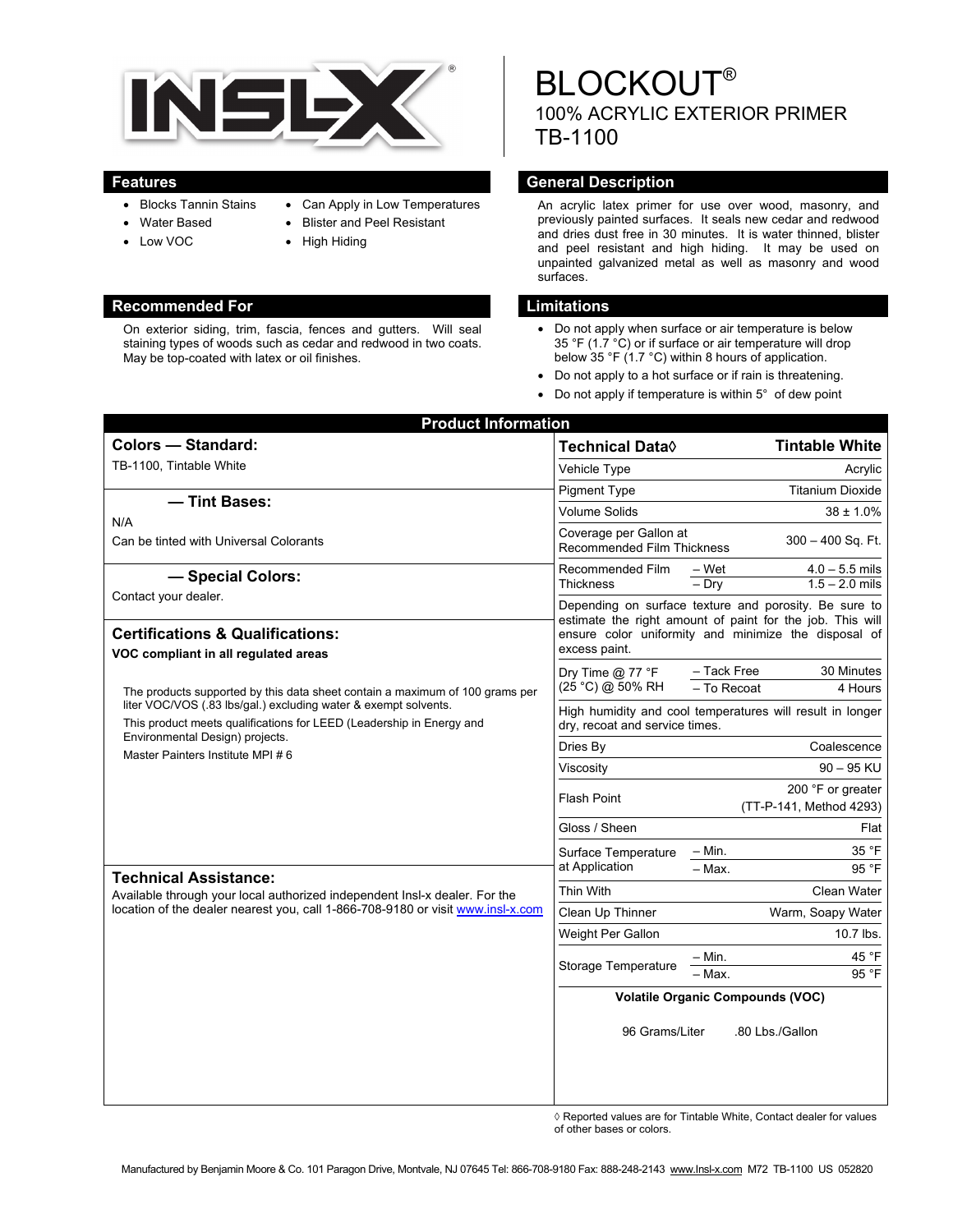

- Blocks Tannin Stains
- Can Apply in Low Temperatures
- Water Based
- Low VOC
- Blister and Peel Resistant
- High Hiding

### **Recommended For Limitations 2018**

On exterior siding, trim, fascia, fences and gutters. Will seal staining types of woods such as cedar and redwood in two coats. May be top-coated with latex or oil finishes.

# **BLOCKOUT®** 100% ACRYLIC EXTERIOR PRIMER TB-1100

## **Features General Description**

An acrylic latex primer for use over wood, masonry, and previously painted surfaces. It seals new cedar and redwood and dries dust free in 30 minutes. It is water thinned, blister and peel resistant and high hiding. It may be used on unpainted galvanized metal as well as masonry and wood surfaces.

- Do not apply when surface or air temperature is below 35 °F (1.7 °C) or if surface or air temperature will drop below 35 °F (1.7 °C) within 8 hours of application.
- Do not apply to a hot surface or if rain is threatening.
- Do not apply if temperature is within 5° of dew point

| <b>Colors - Standard:</b>                                                                                                                                                                                                                                                                                                                                                                                                                                                                       | Technical Data <sup>(</sup>                                                                                                                                                                 | <b>Tintable White</b>                                     |
|-------------------------------------------------------------------------------------------------------------------------------------------------------------------------------------------------------------------------------------------------------------------------------------------------------------------------------------------------------------------------------------------------------------------------------------------------------------------------------------------------|---------------------------------------------------------------------------------------------------------------------------------------------------------------------------------------------|-----------------------------------------------------------|
| TB-1100, Tintable White                                                                                                                                                                                                                                                                                                                                                                                                                                                                         | Vehicle Type                                                                                                                                                                                | Acrylic                                                   |
|                                                                                                                                                                                                                                                                                                                                                                                                                                                                                                 | <b>Pigment Type</b>                                                                                                                                                                         | <b>Titanium Dioxide</b>                                   |
| - Tint Bases:                                                                                                                                                                                                                                                                                                                                                                                                                                                                                   | <b>Volume Solids</b>                                                                                                                                                                        | $38 \pm 1.0\%$                                            |
| N/A<br>Can be tinted with Universal Colorants                                                                                                                                                                                                                                                                                                                                                                                                                                                   | Coverage per Gallon at<br><b>Recommended Film Thickness</b>                                                                                                                                 | 300 – 400 Sq. Ft.                                         |
| - Special Colors:                                                                                                                                                                                                                                                                                                                                                                                                                                                                               | Recommended Film                                                                                                                                                                            | – Wet<br>$4.0 - 5.5$ mils<br>$1.5 - 2.0$ mils             |
| Contact your dealer.                                                                                                                                                                                                                                                                                                                                                                                                                                                                            | <b>Thickness</b>                                                                                                                                                                            | $-$ Dry                                                   |
| <b>Certifications &amp; Qualifications:</b><br>VOC compliant in all regulated areas                                                                                                                                                                                                                                                                                                                                                                                                             | Depending on surface texture and porosity. Be sure to<br>estimate the right amount of paint for the job. This will<br>ensure color uniformity and minimize the disposal of<br>excess paint. |                                                           |
| The products supported by this data sheet contain a maximum of 100 grams per<br>liter VOC/VOS (.83 lbs/gal.) excluding water & exempt solvents.<br>This product meets qualifications for LEED (Leadership in Energy and<br>Environmental Design) projects.<br>Master Painters Institute MPI #6<br><b>Technical Assistance:</b><br>Available through your local authorized independent Insl-x dealer. For the<br>location of the dealer nearest you, call 1-866-708-9180 or visit www.insl-x.com | Dry Time $@$ 77 °F<br>(25 °C) @ 50% RH                                                                                                                                                      | - Tack Free<br>30 Minutes<br>- To Recoat<br>4 Hours       |
|                                                                                                                                                                                                                                                                                                                                                                                                                                                                                                 | dry, recoat and service times.                                                                                                                                                              | High humidity and cool temperatures will result in longer |
|                                                                                                                                                                                                                                                                                                                                                                                                                                                                                                 | Dries By                                                                                                                                                                                    | Coalescence                                               |
|                                                                                                                                                                                                                                                                                                                                                                                                                                                                                                 | Viscosity                                                                                                                                                                                   | $90 - 95$ KU                                              |
|                                                                                                                                                                                                                                                                                                                                                                                                                                                                                                 | <b>Flash Point</b>                                                                                                                                                                          | 200 °F or greater<br>(TT-P-141, Method 4293)              |
|                                                                                                                                                                                                                                                                                                                                                                                                                                                                                                 | Gloss / Sheen                                                                                                                                                                               | Flat                                                      |
|                                                                                                                                                                                                                                                                                                                                                                                                                                                                                                 | Surface Temperature<br>at Application                                                                                                                                                       | 35 °F<br>$-$ Min.                                         |
|                                                                                                                                                                                                                                                                                                                                                                                                                                                                                                 |                                                                                                                                                                                             | - Max.<br>95 °F                                           |
|                                                                                                                                                                                                                                                                                                                                                                                                                                                                                                 | Thin With                                                                                                                                                                                   | Clean Water                                               |
|                                                                                                                                                                                                                                                                                                                                                                                                                                                                                                 | Clean Up Thinner                                                                                                                                                                            | Warm, Soapy Water                                         |
|                                                                                                                                                                                                                                                                                                                                                                                                                                                                                                 | Weight Per Gallon                                                                                                                                                                           | 10.7 lbs.                                                 |
|                                                                                                                                                                                                                                                                                                                                                                                                                                                                                                 | <b>Storage Temperature</b>                                                                                                                                                                  | – Min.<br>45 °F<br>95 °F<br>- Max.                        |
|                                                                                                                                                                                                                                                                                                                                                                                                                                                                                                 |                                                                                                                                                                                             | <b>Volatile Organic Compounds (VOC)</b>                   |
|                                                                                                                                                                                                                                                                                                                                                                                                                                                                                                 | 96 Grams/Liter                                                                                                                                                                              | .80 Lbs./Gallon                                           |

◊ Reported values are for Tintable White, Contact dealer for values of other bases or colors.